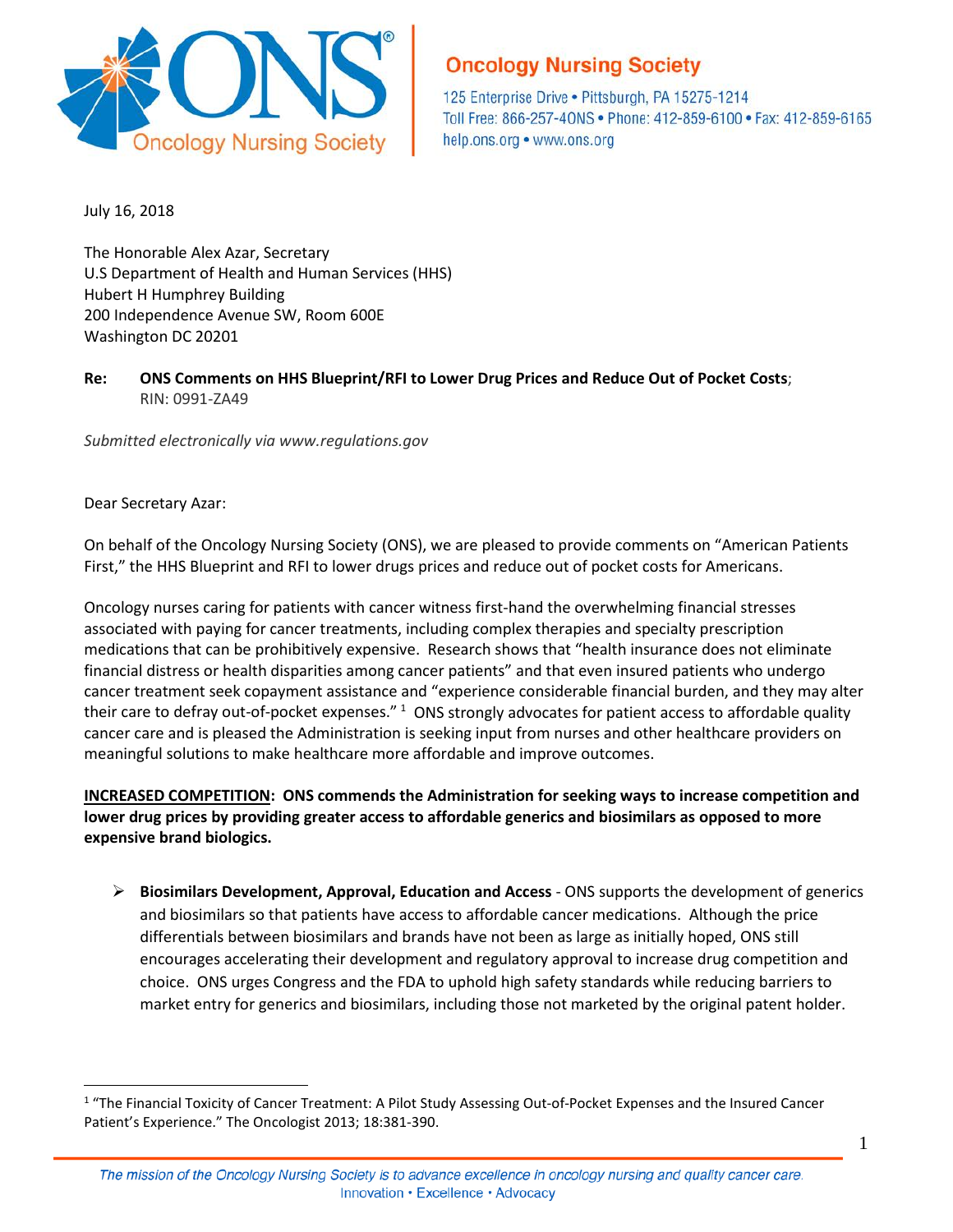

# **Oncology Nursing Society**

125 Enterprise Drive . Pittsburgh, PA 15275-1214 Toll Free: 866-257-40NS · Phone: 412-859-6100 · Fax: 412-859-6165 help.ons.org • www.ons.org

July 16, 2018

The Honorable Alex Azar, Secretary U.S Department of Health and Human Services (HHS) Hubert H Humphrey Building 200 Independence Avenue SW, Room 600E Washington DC 20201

**Re: ONS Comments on HHS Blueprint/RFI to Lower Drug Prices and Reduce Out of Pocket Costs**; RIN: 0991-ZA49

*Submitted electronically via www.regulations.gov*

#### Dear Secretary Azar:

 $\overline{a}$ 

On behalf of the Oncology Nursing Society (ONS), we are pleased to provide comments on "American Patients First," the HHS Blueprint and RFI to lower drugs prices and reduce out of pocket costs for Americans.

Oncology nurses caring for patients with cancer witness first-hand the overwhelming financial stresses associated with paying for cancer treatments, including complex therapies and specialty prescription medications that can be prohibitively expensive. Research shows that "health insurance does not eliminate financial distress or health disparities among cancer patients" and that even insured patients who undergo cancer treatment seek copayment assistance and "experience considerable financial burden, and they may alter their care to defray out-of-pocket expenses." <sup>[1](#page-0-0)</sup> ONS strongly advocates for patient access to affordable quality cancer care and is pleased the Administration is seeking input from nurses and other healthcare providers on meaningful solutions to make healthcare more affordable and improve outcomes.

**INCREASED COMPETITION: ONS commends the Administration for seeking ways to increase competition and lower drug prices by providing greater access to affordable generics and biosimilars as opposed to more expensive brand biologics.**

 **Biosimilars Development, Approval, Education and Access** - ONS supports the development of generics and biosimilars so that patients have access to affordable cancer medications. Although the price differentials between biosimilars and brands have not been as large as initially hoped, ONS still encourages accelerating their development and regulatory approval to increase drug competition and choice. ONS urges Congress and the FDA to uphold high safety standards while reducing barriers to market entry for generics and biosimilars, including those not marketed by the original patent holder.

<span id="page-0-0"></span><sup>&</sup>lt;sup>1</sup> "The Financial Toxicity of Cancer Treatment: A Pilot Study Assessing Out-of-Pocket Expenses and the Insured Cancer Patient's Experience." The Oncologist 2013; 18:381-390.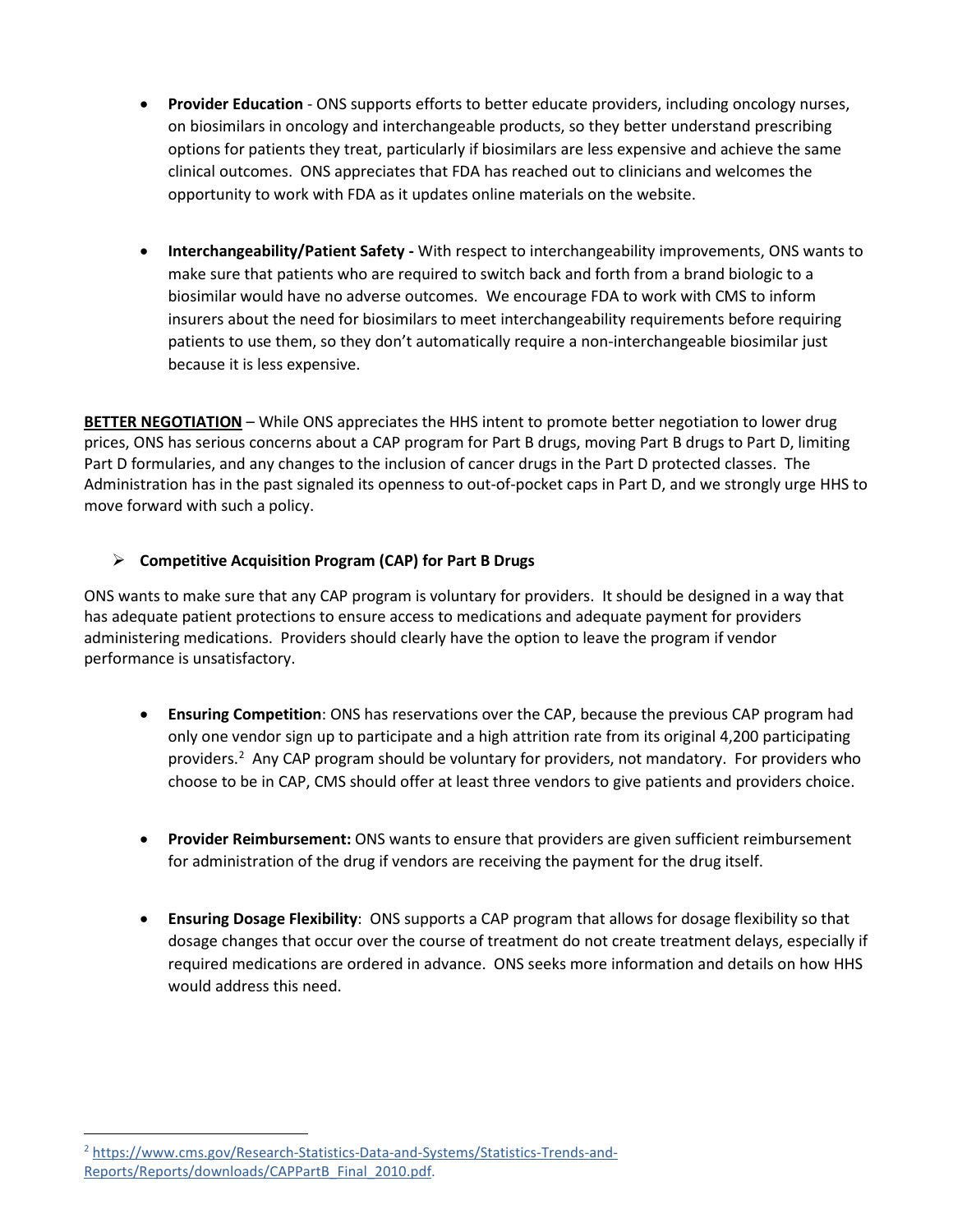- **Provider Education** ONS supports efforts to better educate providers, including oncology nurses, on biosimilars in oncology and interchangeable products, so they better understand prescribing options for patients they treat, particularly if biosimilars are less expensive and achieve the same clinical outcomes. ONS appreciates that FDA has reached out to clinicians and welcomes the opportunity to work with FDA as it updates online materials on the website.
- **Interchangeability/Patient Safety -** With respect to interchangeability improvements, ONS wants to make sure that patients who are required to switch back and forth from a brand biologic to a biosimilar would have no adverse outcomes. We encourage FDA to work with CMS to inform insurers about the need for biosimilars to meet interchangeability requirements before requiring patients to use them, so they don't automatically require a non-interchangeable biosimilar just because it is less expensive.

**BETTER NEGOTIATION** – While ONS appreciates the HHS intent to promote better negotiation to lower drug prices, ONS has serious concerns about a CAP program for Part B drugs, moving Part B drugs to Part D, limiting Part D formularies, and any changes to the inclusion of cancer drugs in the Part D protected classes. The Administration has in the past signaled its openness to out-of-pocket caps in Part D, and we strongly urge HHS to move forward with such a policy.

## **Competitive Acquisition Program (CAP) for Part B Drugs**

ONS wants to make sure that any CAP program is voluntary for providers. It should be designed in a way that has adequate patient protections to ensure access to medications and adequate payment for providers administering medications. Providers should clearly have the option to leave the program if vendor performance is unsatisfactory.

- **Ensuring Competition**: ONS has reservations over the CAP, because the previous CAP program had only one vendor sign up to participate and a high attrition rate from its original 4,200 participating providers.<sup>[2](#page-1-0)</sup> Any CAP program should be voluntary for providers, not mandatory. For providers who choose to be in CAP, CMS should offer at least three vendors to give patients and providers choice.
- **Provider Reimbursement:** ONS wants to ensure that providers are given sufficient reimbursement for administration of the drug if vendors are receiving the payment for the drug itself.
- **Ensuring Dosage Flexibility**: ONS supports a CAP program that allows for dosage flexibility so that dosage changes that occur over the course of treatment do not create treatment delays, especially if required medications are ordered in advance. ONS seeks more information and details on how HHS would address this need.

<span id="page-1-0"></span> $\overline{a}$ <sup>2</sup> [https://www.cms.gov/Research-Statistics-Data-and-Systems/Statistics-Trends-and-](https://www.cms.gov/Research-Statistics-Data-and-Systems/Statistics-Trends-and-Reports/Reports/downloads/CAPPartB_Final_2010.pdf)[Reports/Reports/downloads/CAPPartB\\_Final\\_2010.pdf.](https://www.cms.gov/Research-Statistics-Data-and-Systems/Statistics-Trends-and-Reports/Reports/downloads/CAPPartB_Final_2010.pdf)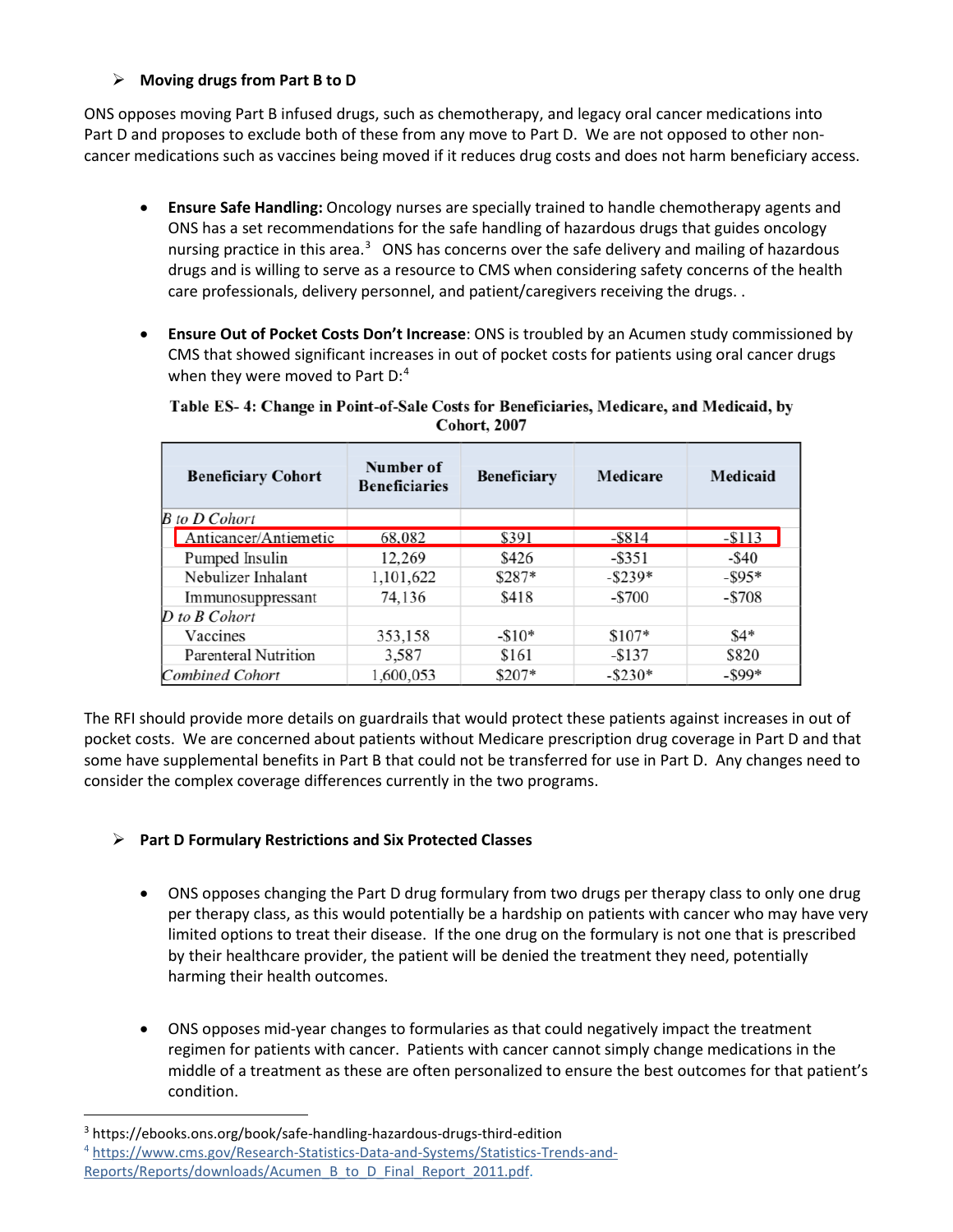## **Moving drugs from Part B to D**

ONS opposes moving Part B infused drugs, such as chemotherapy, and legacy oral cancer medications into Part D and proposes to exclude both of these from any move to Part D. We are not opposed to other noncancer medications such as vaccines being moved if it reduces drug costs and does not harm beneficiary access.

- **Ensure Safe Handling:** Oncology nurses are specially trained to handle chemotherapy agents and ONS has a set recommendations for the safe handling of hazardous drugs that guides oncology nursing practice in this area.<sup>[3](#page-2-0)</sup> ONS has concerns over the safe delivery and mailing of hazardous drugs and is willing to serve as a resource to CMS when considering safety concerns of the health care professionals, delivery personnel, and patient/caregivers receiving the drugs. .
- **Ensure Out of Pocket Costs Don't Increase**: ONS is troubled by an Acumen study commissioned by CMS that showed significant increases in out of pocket costs for patients using oral cancer drugs when they were moved to Part D:<sup>4</sup>

| <b>Beneficiary Cohort</b>   | Number of<br><b>Beneficiaries</b> | <b>Beneficiary</b> | <b>Medicare</b> | <b>Medicaid</b> |
|-----------------------------|-----------------------------------|--------------------|-----------------|-----------------|
| <b>B</b> to D Cohort        |                                   |                    |                 |                 |
| Anticancer/Antiemetic       | 68,082                            | \$391              | $-$ \$814       | $-$113$         |
| Pumped Insulin              | 12,269                            | \$426              | $-$ \$351       | $-$ \$40        |
| Nebulizer Inhalant          | 1,101,622                         | $$287*$            | $-$ \$239*      | $-$ \$95*       |
| Immunosuppressant           | 74,136                            | \$418              | $-$ \$700       | $-$ \$708       |
| $D$ to $B$ Cohort           |                                   |                    |                 |                 |
| Vaccines                    | 353,158                           | $-\$10*$           | $$107*$         | $$4*$           |
| <b>Parenteral Nutrition</b> | 3,587                             | \$161              | $-$137$         | \$820           |
| <b>Combined Cohort</b>      | 1,600,053                         | \$207*             | $-$ \$230*      | $-$ \$99*       |

#### Table ES- 4: Change in Point-of-Sale Costs for Beneficiaries, Medicare, and Medicaid, by **Cohort, 2007**

The RFI should provide more details on guardrails that would protect these patients against increases in out of pocket costs. We are concerned about patients without Medicare prescription drug coverage in Part D and that some have supplemental benefits in Part B that could not be transferred for use in Part D. Any changes need to consider the complex coverage differences currently in the two programs.

# **Part D Formulary Restrictions and Six Protected Classes**

- ONS opposes changing the Part D drug formulary from two drugs per therapy class to only one drug per therapy class, as this would potentially be a hardship on patients with cancer who may have very limited options to treat their disease. If the one drug on the formulary is not one that is prescribed by their healthcare provider, the patient will be denied the treatment they need, potentially harming their health outcomes.
- ONS opposes mid-year changes to formularies as that could negatively impact the treatment regimen for patients with cancer. Patients with cancer cannot simply change medications in the middle of a treatment as these are often personalized to ensure the best outcomes for that patient's condition.

 $\overline{a}$ 

<span id="page-2-1"></span><span id="page-2-0"></span><sup>3</sup> https://ebooks.ons.org/book/safe-handling-hazardous-drugs-third-edition <sup>4</sup> [https://www.cms.gov/Research-Statistics-Data-and-Systems/Statistics-Trends-and-](https://www.cms.gov/Research-Statistics-Data-and-Systems/Statistics-Trends-and-Reports/Reports/downloads/Acumen_B_to_D_Final_Report_2011.pdf)Reports/Reports/downloads/Acumen\_B\_to\_D\_Final\_Report\_2011.pdf.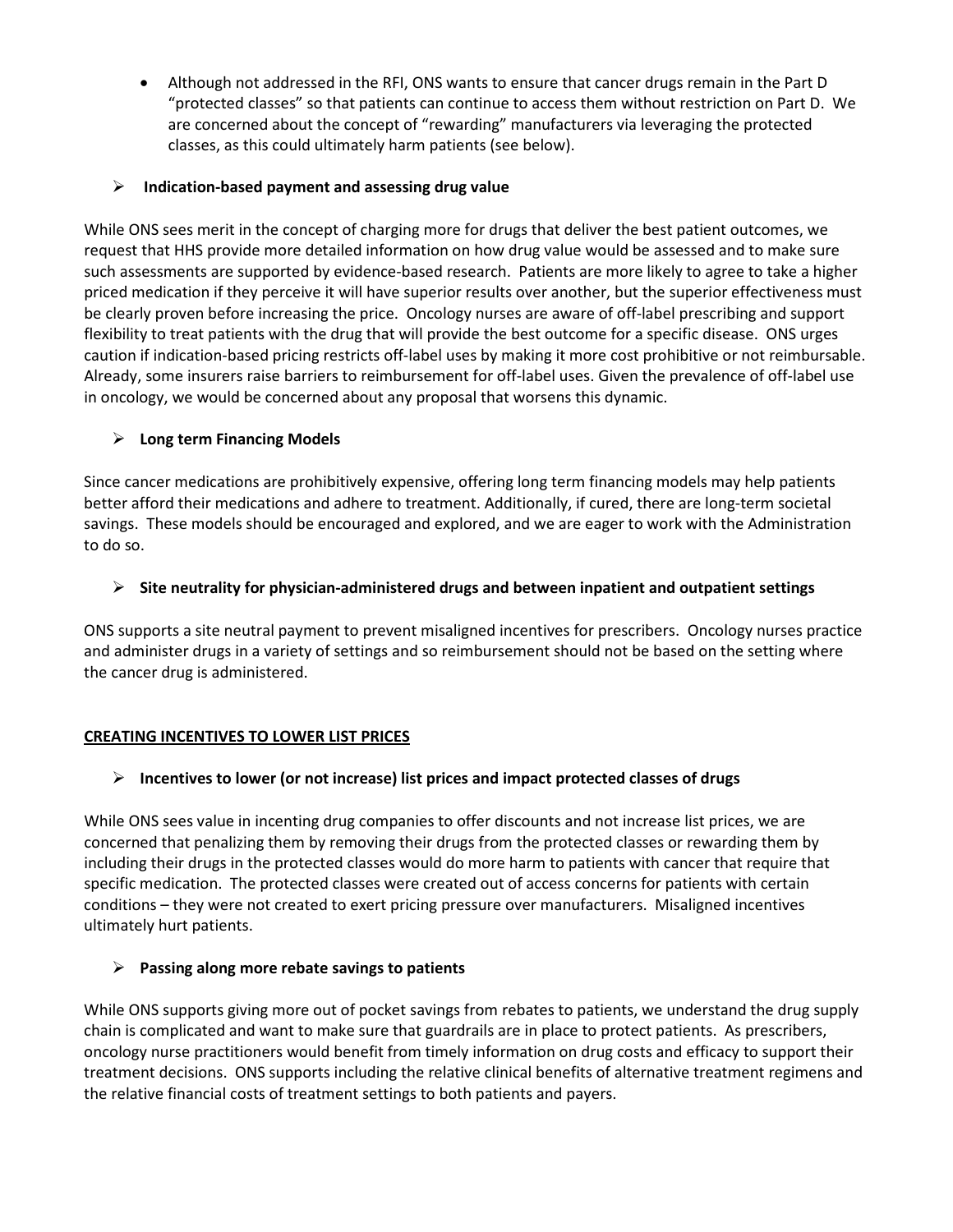• Although not addressed in the RFI, ONS wants to ensure that cancer drugs remain in the Part D "protected classes" so that patients can continue to access them without restriction on Part D. We are concerned about the concept of "rewarding" manufacturers via leveraging the protected classes, as this could ultimately harm patients (see below).

#### **Indication-based payment and assessing drug value**

While ONS sees merit in the concept of charging more for drugs that deliver the best patient outcomes, we request that HHS provide more detailed information on how drug value would be assessed and to make sure such assessments are supported by evidence-based research. Patients are more likely to agree to take a higher priced medication if they perceive it will have superior results over another, but the superior effectiveness must be clearly proven before increasing the price. Oncology nurses are aware of off-label prescribing and support flexibility to treat patients with the drug that will provide the best outcome for a specific disease. ONS urges caution if indication-based pricing restricts off-label uses by making it more cost prohibitive or not reimbursable. Already, some insurers raise barriers to reimbursement for off-label uses. Given the prevalence of off-label use in oncology, we would be concerned about any proposal that worsens this dynamic.

## **Long term Financing Models**

Since cancer medications are prohibitively expensive, offering long term financing models may help patients better afford their medications and adhere to treatment. Additionally, if cured, there are long-term societal savings. These models should be encouraged and explored, and we are eager to work with the Administration to do so.

## **Site neutrality for physician-administered drugs and between inpatient and outpatient settings**

ONS supports a site neutral payment to prevent misaligned incentives for prescribers. Oncology nurses practice and administer drugs in a variety of settings and so reimbursement should not be based on the setting where the cancer drug is administered.

## **CREATING INCENTIVES TO LOWER LIST PRICES**

# **Incentives to lower (or not increase) list prices and impact protected classes of drugs**

While ONS sees value in incenting drug companies to offer discounts and not increase list prices, we are concerned that penalizing them by removing their drugs from the protected classes or rewarding them by including their drugs in the protected classes would do more harm to patients with cancer that require that specific medication. The protected classes were created out of access concerns for patients with certain conditions – they were not created to exert pricing pressure over manufacturers. Misaligned incentives ultimately hurt patients.

# **Passing along more rebate savings to patients**

While ONS supports giving more out of pocket savings from rebates to patients, we understand the drug supply chain is complicated and want to make sure that guardrails are in place to protect patients. As prescribers, oncology nurse practitioners would benefit from timely information on drug costs and efficacy to support their treatment decisions. ONS supports including the relative clinical benefits of alternative treatment regimens and the relative financial costs of treatment settings to both patients and payers.